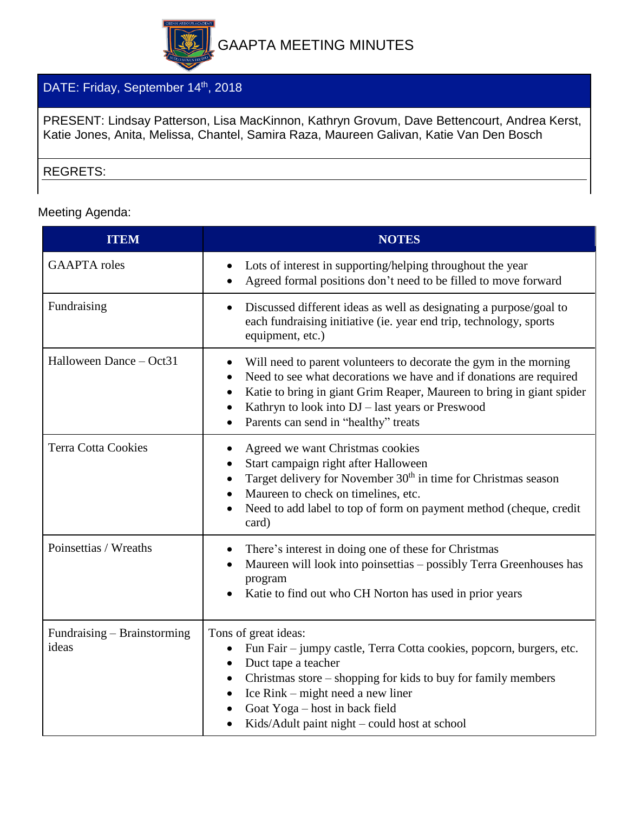

## DATE: Friday, September 14<sup>th</sup>, 2018

PRESENT: Lindsay Patterson, Lisa MacKinnon, Kathryn Grovum, Dave Bettencourt, Andrea Kerst, Katie Jones, Anita, Melissa, Chantel, Samira Raza, Maureen Galivan, Katie Van Den Bosch

## REGRETS:

Meeting Agenda:

| <b>ITEM</b>                          | <b>NOTES</b>                                                                                                                                                                                                                                                                                                                                        |
|--------------------------------------|-----------------------------------------------------------------------------------------------------------------------------------------------------------------------------------------------------------------------------------------------------------------------------------------------------------------------------------------------------|
| <b>GAAPTA</b> roles                  | Lots of interest in supporting/helping throughout the year<br>Agreed formal positions don't need to be filled to move forward                                                                                                                                                                                                                       |
| Fundraising                          | Discussed different ideas as well as designating a purpose/goal to<br>$\bullet$<br>each fundraising initiative (ie. year end trip, technology, sports<br>equipment, etc.)                                                                                                                                                                           |
| Halloween Dance - Oct31              | Will need to parent volunteers to decorate the gym in the morning<br>Need to see what decorations we have and if donations are required<br>$\bullet$<br>Katie to bring in giant Grim Reaper, Maureen to bring in giant spider<br>$\bullet$<br>Kathryn to look into DJ - last years or Preswood<br>Parents can send in "healthy" treats              |
| <b>Terra Cotta Cookies</b>           | Agreed we want Christmas cookies<br>$\bullet$<br>Start campaign right after Halloween<br>Target delivery for November 30 <sup>th</sup> in time for Christmas season<br>Maureen to check on timelines, etc.<br>Need to add label to top of form on payment method (cheque, credit<br>card)                                                           |
| Poinsettias / Wreaths                | There's interest in doing one of these for Christmas<br>$\bullet$<br>Maureen will look into poinsettias - possibly Terra Greenhouses has<br>program<br>Katie to find out who CH Norton has used in prior years                                                                                                                                      |
| Fundraising - Brainstorming<br>ideas | Tons of great ideas:<br>Fun Fair - jumpy castle, Terra Cotta cookies, popcorn, burgers, etc.<br>$\bullet$<br>Duct tape a teacher<br>$\bullet$<br>Christmas store – shopping for kids to buy for family members<br>$\bullet$<br>Ice Rink – might need a new liner<br>Goat Yoga - host in back field<br>Kids/Adult paint night – could host at school |